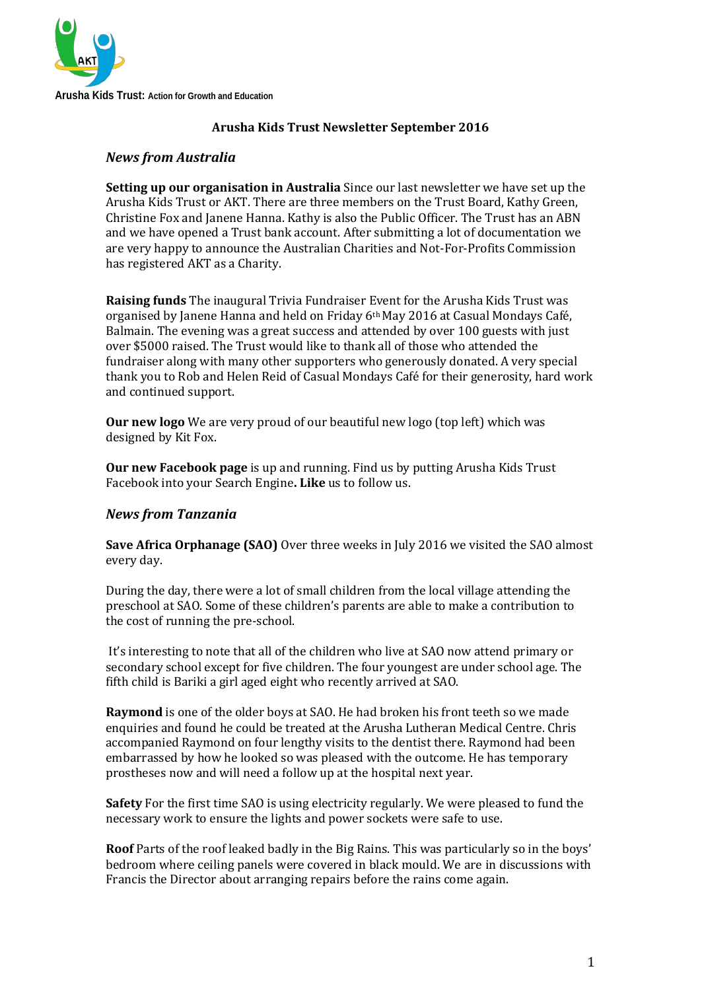

#### **Arusha Kids Trust Newsletter September 2016**

### *News from Australia*

**Setting up our organisation in Australia** Since our last newsletter we have set up the Arusha Kids Trust or AKT. There are three members on the Trust Board, Kathy Green, Christine Fox and Janene Hanna. Kathy is also the Public Officer. The Trust has an ABN and we have opened a Trust bank account. After submitting a lot of documentation we are very happy to announce the Australian Charities and Not-For-Profits Commission has registered AKT as a Charity.

**Raising funds** The inaugural Trivia Fundraiser Event for the Arusha Kids Trust was organised by Janene Hanna and held on Friday 6th May 2016 at Casual Mondays Café, Balmain. The evening was a great success and attended by over 100 guests with just over \$5000 raised. The Trust would like to thank all of those who attended the fundraiser along with many other supporters who generously donated. A very special thank you to Rob and Helen Reid of Casual Mondays Café for their generosity, hard work and continued support.

**Our new logo** We are very proud of our beautiful new logo (top left) which was designed by Kit Fox.

**Our new Facebook page** is up and running. Find us by putting Arusha Kids Trust Facebook into your Search Engine**. Like** us to follow us.

#### *News from Tanzania*

**Save Africa Orphanage (SAO)** Over three weeks in July 2016 we visited the SAO almost every day.

During the day, there were a lot of small children from the local village attending the preschool at SAO. Some of these children's parents are able to make a contribution to the cost of running the pre-school.

It's interesting to note that all of the children who live at SAO now attend primary or secondary school except for five children. The four youngest are under school age. The fifth child is Bariki a girl aged eight who recently arrived at SAO.

**Raymond** is one of the older boys at SAO. He had broken his front teeth so we made enquiries and found he could be treated at the Arusha Lutheran Medical Centre. Chris accompanied Raymond on four lengthy visits to the dentist there. Raymond had been embarrassed by how he looked so was pleased with the outcome. He has temporary prostheses now and will need a follow up at the hospital next year.

**Safety** For the first time SAO is using electricity regularly. We were pleased to fund the necessary work to ensure the lights and power sockets were safe to use.

**Roof** Parts of the roof leaked badly in the Big Rains. This was particularly so in the boys' bedroom where ceiling panels were covered in black mould. We are in discussions with Francis the Director about arranging repairs before the rains come again.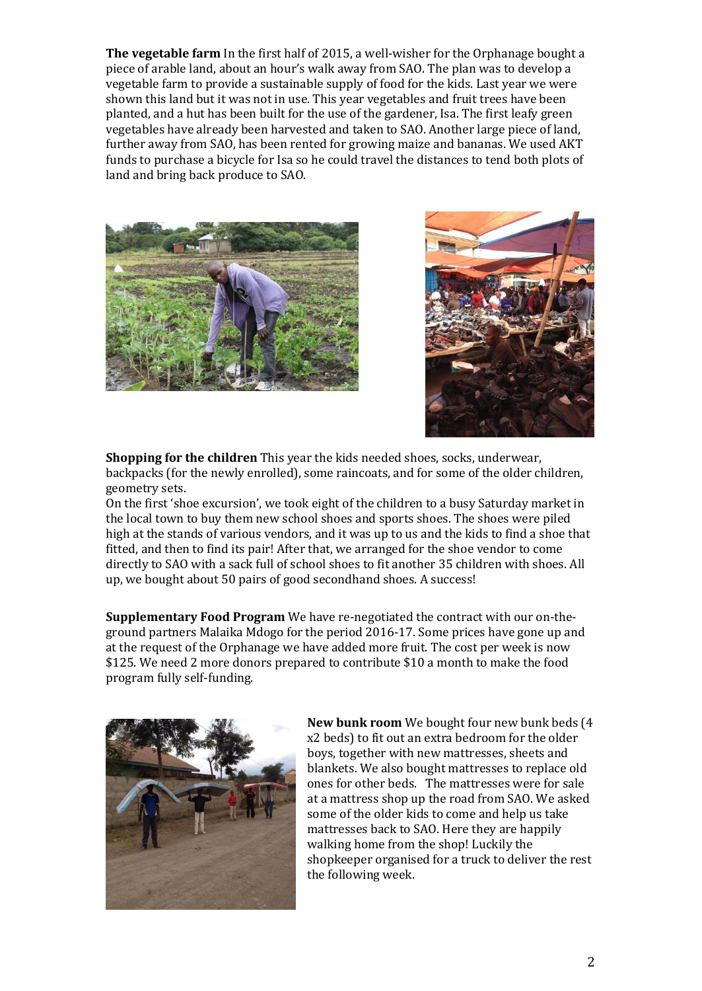**The vegetable farm** In the first half of 2015, a well-wisher for the Orphanage bought a piece of arable land, about an hour's walk away from SAO. The plan was to develop a vegetable farm to provide a sustainable supply of food for the kids. Last year we were shown this land but it was not in use. This year vegetables and fruit trees have been planted, and a hut has been built for the use of the gardener, Isa. The first leafy green vegetables have already been harvested and taken to SAO. Another large piece of land, further away from SAO, has been rented for growing maize and bananas. We used AKT funds to purchase a bicycle for Isa so he could travel the distances to tend both plots of land and bring back produce to SAO.





**Shopping for the children** This year the kids needed shoes, socks, underwear, backpacks (for the newly enrolled), some raincoats, and for some of the older children, geometry sets.

On the first 'shoe excursion', we took eight of the children to a busy Saturday market in the local town to buy them new school shoes and sports shoes. The shoes were piled high at the stands of various vendors, and it was up to us and the kids to find a shoe that fitted, and then to find its pair! After that, we arranged for the shoe vendor to come directly to SAO with a sack full of school shoes to fit another 35 children with shoes. All up, we bought about 50 pairs of good secondhand shoes. A success!

**Supplementary Food Program** We have re-negotiated the contract with our on-theground partners Malaika Mdogo for the period 2016-17. Some prices have gone up and at the request of the Orphanage we have added more fruit. The cost per week is now \$125. We need 2 more donors prepared to contribute \$10 a month to make the food program fully self-funding.



**New bunk room** We bought four new bunk beds (4 x2 beds) to fit out an extra bedroom for the older boys, together with new mattresses, sheets and blankets. We also bought mattresses to replace old ones for other beds. The mattresses were for sale at a mattress shop up the road from SAO. We asked some of the older kids to come and help us take mattresses back to SAO. Here they are happily walking home from the shop! Luckily the shopkeeper organised for a truck to deliver the rest the following week.